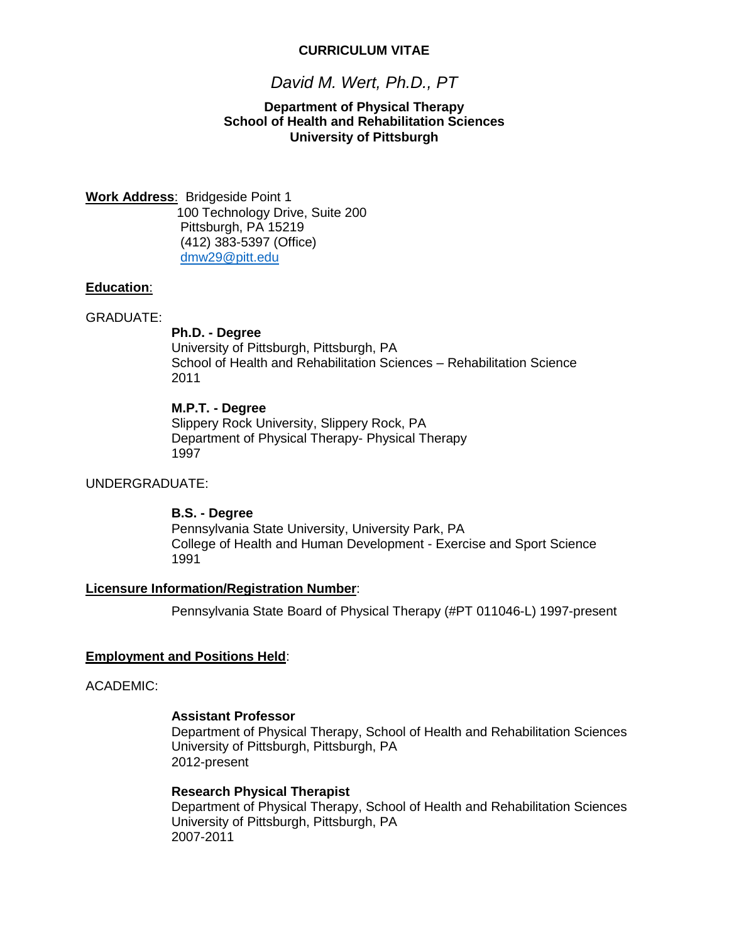### **CURRICULUM VITAE**

# *David M. Wert, Ph.D., PT*

### **Department of Physical Therapy School of Health and Rehabilitation Sciences University of Pittsburgh**

**Work Address**: Bridgeside Point 1 100 Technology Drive, Suite 200 Pittsburgh, PA 15219 (412) 383-5397 (Office) [dmw29@pitt.edu](mailto:dmw29@pitt.edu)

### **Education**:

### GRADUATE:

### **Ph.D. - Degree**

University of Pittsburgh, Pittsburgh, PA School of Health and Rehabilitation Sciences – Rehabilitation Science 2011

### **M.P.T. - Degree**

Slippery Rock University, Slippery Rock, PA Department of Physical Therapy- Physical Therapy 1997

### UNDERGRADUATE:

### **B.S. - Degree**

Pennsylvania State University, University Park, PA College of Health and Human Development - Exercise and Sport Science 1991

### **Licensure Information/Registration Number**:

Pennsylvania State Board of Physical Therapy (#PT 011046-L) 1997-present

### **Employment and Positions Held**:

### ACADEMIC:

#### **Assistant Professor**

Department of Physical Therapy, School of Health and Rehabilitation Sciences University of Pittsburgh, Pittsburgh, PA 2012-present

### **Research Physical Therapist**

Department of Physical Therapy, School of Health and Rehabilitation Sciences University of Pittsburgh, Pittsburgh, PA 2007-2011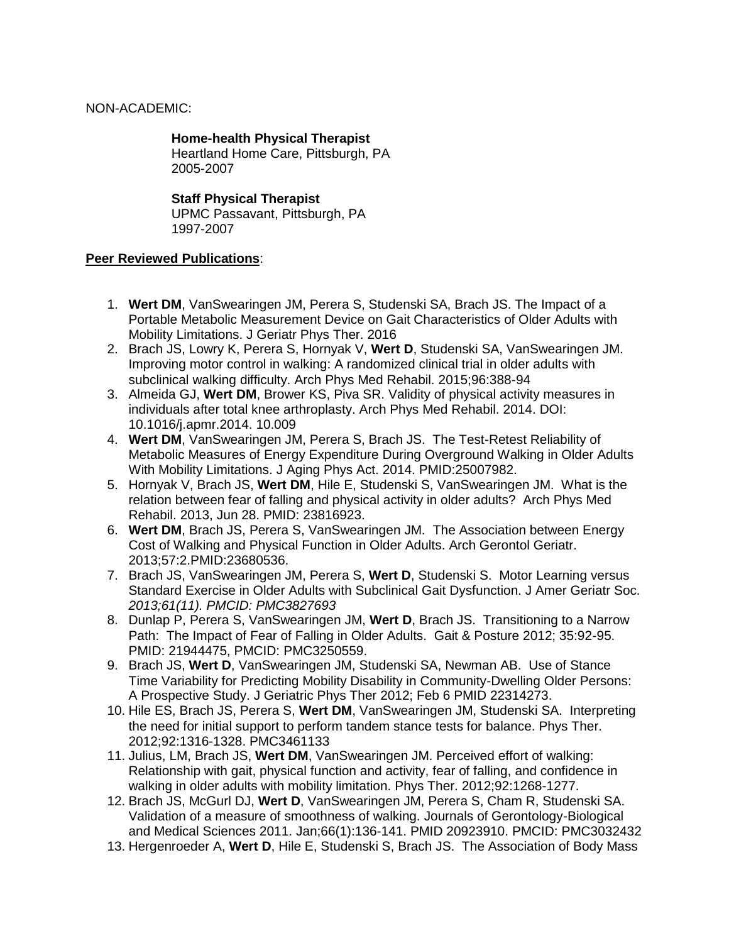# NON-ACADEMIC:

# **Home-health Physical Therapist**

Heartland Home Care, Pittsburgh, PA 2005-2007

# **Staff Physical Therapist**

UPMC Passavant, Pittsburgh, PA 1997-2007

### **Peer Reviewed Publications**:

- 1. **Wert DM**, VanSwearingen JM, Perera S, Studenski SA, Brach JS. The Impact of a Portable Metabolic Measurement Device on Gait Characteristics of Older Adults with Mobility Limitations. J Geriatr Phys Ther. 2016
- 2. Brach JS, Lowry K, Perera S, Hornyak V, **Wert D**, Studenski SA, VanSwearingen JM. Improving motor control in walking: A randomized clinical trial in older adults with subclinical walking difficulty. Arch Phys Med Rehabil. 2015;96:388-94
- 3. Almeida GJ, **Wert DM**, Brower KS, Piva SR. Validity of physical activity measures in individuals after total knee arthroplasty. Arch Phys Med Rehabil. 2014. DOI: 10.1016/j.apmr.2014. 10.009
- 4. **Wert DM**, VanSwearingen JM, Perera S, Brach JS. The Test-Retest Reliability of Metabolic Measures of Energy Expenditure During Overground Walking in Older Adults With Mobility Limitations. J Aging Phys Act. 2014. PMID:25007982.
- 5. Hornyak V, Brach JS, **Wert DM**, Hile E, Studenski S, VanSwearingen JM. What is the relation between fear of falling and physical activity in older adults? Arch Phys Med Rehabil. 2013, Jun 28. PMID: 23816923.
- 6. **Wert DM**, Brach JS, Perera S, VanSwearingen JM. The Association between Energy Cost of Walking and Physical Function in Older Adults. Arch Gerontol Geriatr. 2013;57:2.PMID:23680536.
- 7. Brach JS, VanSwearingen JM, Perera S, **Wert D**, Studenski S. Motor Learning versus Standard Exercise in Older Adults with Subclinical Gait Dysfunction. J Amer Geriatr Soc. *2013;61(11). PMCID: PMC3827693*
- 8. Dunlap P, Perera S, VanSwearingen JM, **Wert D**, Brach JS. Transitioning to a Narrow Path: The Impact of Fear of Falling in Older Adults. Gait & Posture 2012; 35:92-95. PMID: 21944475, PMCID: PMC3250559.
- 9. Brach JS, **Wert D**, VanSwearingen JM, Studenski SA, Newman AB. Use of Stance Time Variability for Predicting Mobility Disability in Community-Dwelling Older Persons: A Prospective Study. J Geriatric Phys Ther 2012; Feb 6 PMID 22314273.
- 10. Hile ES, Brach JS, Perera S, **Wert DM**, VanSwearingen JM, Studenski SA. Interpreting the need for initial support to perform tandem stance tests for balance. Phys Ther. 2012;92:1316-1328. PMC3461133
- 11. Julius, LM, Brach JS, **Wert DM**, VanSwearingen JM. Perceived effort of walking: Relationship with gait, physical function and activity, fear of falling, and confidence in walking in older adults with mobility limitation. Phys Ther. 2012;92:1268-1277.
- 12. Brach JS, McGurl DJ, **Wert D**, VanSwearingen JM, Perera S, Cham R, Studenski SA. Validation of a measure of smoothness of walking. Journals of Gerontology-Biological and Medical Sciences 2011. Jan;66(1):136-141. PMID 20923910. PMCID: PMC3032432
- 13. Hergenroeder A, **Wert D**, Hile E, Studenski S, Brach JS. The Association of Body Mass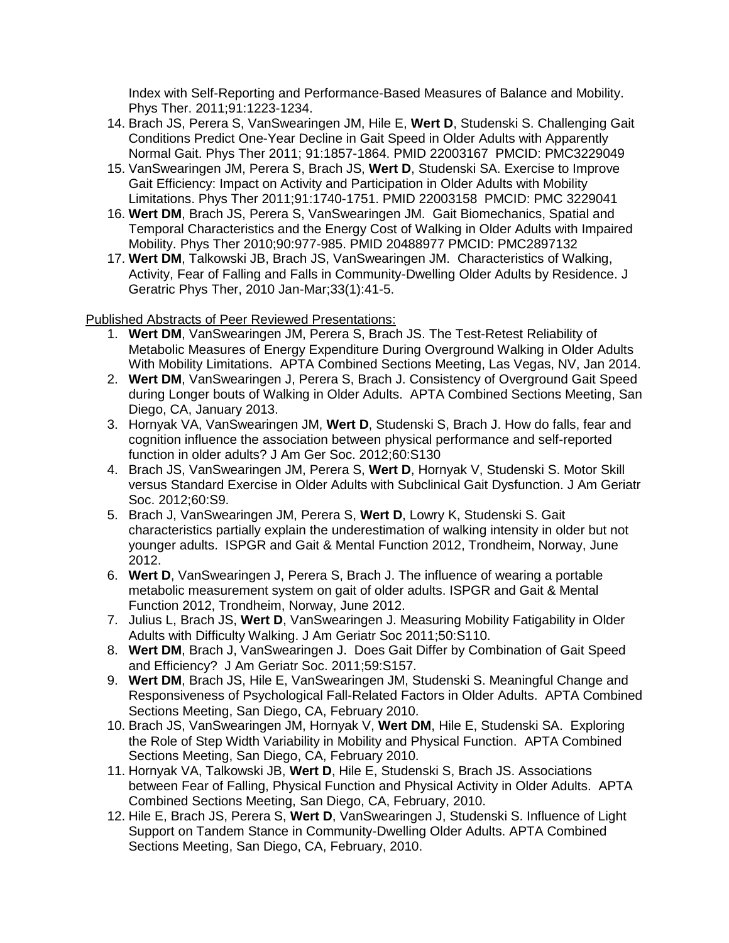Index with Self-Reporting and Performance-Based Measures of Balance and Mobility. Phys Ther. 2011;91:1223-1234.

- 14. Brach JS, Perera S, VanSwearingen JM, Hile E, **Wert D**, Studenski S. Challenging Gait Conditions Predict One-Year Decline in Gait Speed in Older Adults with Apparently Normal Gait. Phys Ther 2011; 91:1857-1864. PMID 22003167 PMCID: PMC3229049
- 15. VanSwearingen JM, Perera S, Brach JS, **Wert D**, Studenski SA. Exercise to Improve Gait Efficiency: Impact on Activity and Participation in Older Adults with Mobility Limitations. Phys Ther 2011;91:1740-1751. PMID 22003158 PMCID: PMC 3229041
- 16. **Wert DM**, Brach JS, Perera S, VanSwearingen JM. Gait Biomechanics, Spatial and Temporal Characteristics and the Energy Cost of Walking in Older Adults with Impaired Mobility. Phys Ther 2010;90:977-985. PMID 20488977 PMCID: PMC2897132
- 17. **Wert DM**, Talkowski JB, Brach JS, VanSwearingen JM. Characteristics of Walking, Activity, Fear of Falling and Falls in Community-Dwelling Older Adults by Residence. J Geratric Phys Ther, 2010 Jan-Mar;33(1):41-5.

# Published Abstracts of Peer Reviewed Presentations:

- 1. **Wert DM**, VanSwearingen JM, Perera S, Brach JS. The Test-Retest Reliability of Metabolic Measures of Energy Expenditure During Overground Walking in Older Adults With Mobility Limitations. APTA Combined Sections Meeting, Las Vegas, NV, Jan 2014.
- 2. **Wert DM**, VanSwearingen J, Perera S, Brach J. Consistency of Overground Gait Speed during Longer bouts of Walking in Older Adults. APTA Combined Sections Meeting, San Diego, CA, January 2013.
- 3. Hornyak VA, VanSwearingen JM, **Wert D**, Studenski S, Brach J. How do falls, fear and cognition influence the association between physical performance and self-reported function in older adults? J Am Ger Soc. 2012;60:S130
- 4. Brach JS, VanSwearingen JM, Perera S, **Wert D**, Hornyak V, Studenski S. Motor Skill versus Standard Exercise in Older Adults with Subclinical Gait Dysfunction. J Am Geriatr Soc. 2012;60:S9.
- 5. Brach J, VanSwearingen JM, Perera S, **Wert D**, Lowry K, Studenski S. Gait characteristics partially explain the underestimation of walking intensity in older but not younger adults. ISPGR and Gait & Mental Function 2012, Trondheim, Norway, June 2012.
- 6. **Wert D**, VanSwearingen J, Perera S, Brach J. The influence of wearing a portable metabolic measurement system on gait of older adults. ISPGR and Gait & Mental Function 2012, Trondheim, Norway, June 2012.
- 7. Julius L, Brach JS, **Wert D**, VanSwearingen J. Measuring Mobility Fatigability in Older Adults with Difficulty Walking. J Am Geriatr Soc 2011;50:S110.
- 8. **Wert DM**, Brach J, VanSwearingen J. Does Gait Differ by Combination of Gait Speed and Efficiency? J Am Geriatr Soc. 2011;59:S157.
- 9. **Wert DM**, Brach JS, Hile E, VanSwearingen JM, Studenski S. Meaningful Change and Responsiveness of Psychological Fall-Related Factors in Older Adults. APTA Combined Sections Meeting, San Diego, CA, February 2010.
- 10. Brach JS, VanSwearingen JM, Hornyak V, **Wert DM**, Hile E, Studenski SA. Exploring the Role of Step Width Variability in Mobility and Physical Function. APTA Combined Sections Meeting, San Diego, CA, February 2010.
- 11. Hornyak VA, Talkowski JB, **Wert D**, Hile E, Studenski S, Brach JS. Associations between Fear of Falling, Physical Function and Physical Activity in Older Adults. APTA Combined Sections Meeting, San Diego, CA, February, 2010.
- 12. Hile E, Brach JS, Perera S, **Wert D**, VanSwearingen J, Studenski S. Influence of Light Support on Tandem Stance in Community-Dwelling Older Adults. APTA Combined Sections Meeting, San Diego, CA, February, 2010.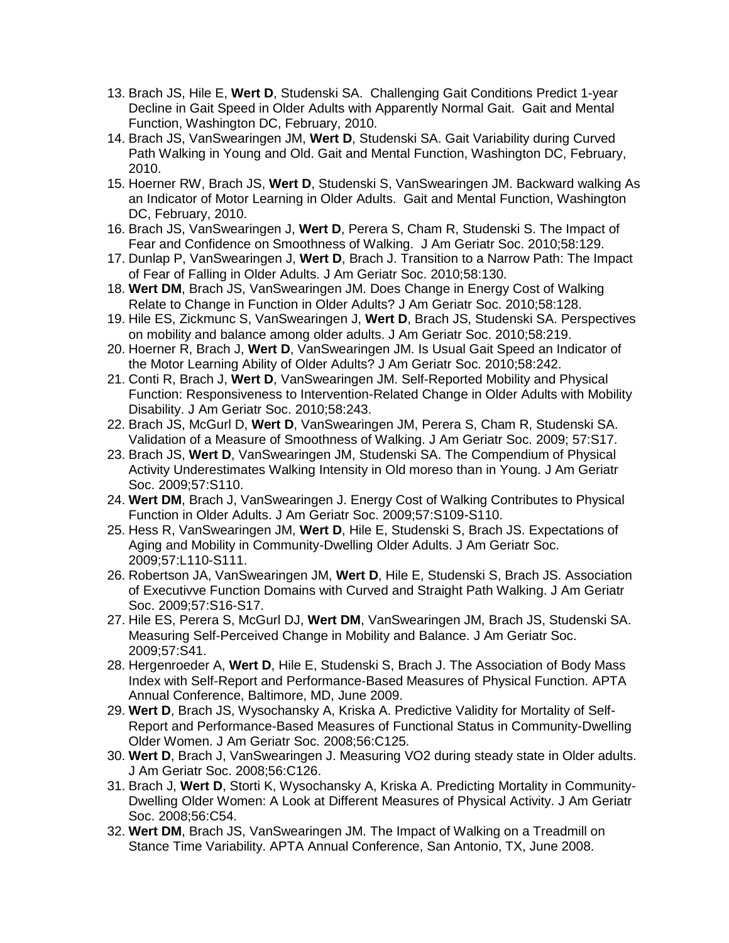- 13. Brach JS, Hile E, **Wert D**, Studenski SA. Challenging Gait Conditions Predict 1-year Decline in Gait Speed in Older Adults with Apparently Normal Gait. Gait and Mental Function, Washington DC, February, 2010.
- 14. Brach JS, VanSwearingen JM, **Wert D**, Studenski SA. Gait Variability during Curved Path Walking in Young and Old. Gait and Mental Function, Washington DC, February, 2010.
- 15. Hoerner RW, Brach JS, **Wert D**, Studenski S, VanSwearingen JM. Backward walking As an Indicator of Motor Learning in Older Adults. Gait and Mental Function, Washington DC, February, 2010.
- 16. Brach JS, VanSwearingen J, **Wert D**, Perera S, Cham R, Studenski S. The Impact of Fear and Confidence on Smoothness of Walking. J Am Geriatr Soc. 2010;58:129.
- 17. Dunlap P, VanSwearingen J, **Wert D**, Brach J. Transition to a Narrow Path: The Impact of Fear of Falling in Older Adults. J Am Geriatr Soc. 2010;58:130.
- 18. **Wert DM**, Brach JS, VanSwearingen JM. Does Change in Energy Cost of Walking Relate to Change in Function in Older Adults? J Am Geriatr Soc. 2010;58:128.
- 19. Hile ES, Zickmunc S, VanSwearingen J, **Wert D**, Brach JS, Studenski SA. Perspectives on mobility and balance among older adults. J Am Geriatr Soc. 2010;58:219.
- 20. Hoerner R, Brach J, **Wert D**, VanSwearingen JM. Is Usual Gait Speed an Indicator of the Motor Learning Ability of Older Adults? J Am Geriatr Soc. 2010;58:242.
- 21. Conti R, Brach J, **Wert D**, VanSwearingen JM. Self-Reported Mobility and Physical Function: Responsiveness to Intervention-Related Change in Older Adults with Mobility Disability. J Am Geriatr Soc. 2010;58:243.
- 22. Brach JS, McGurl D, **Wert D**, VanSwearingen JM, Perera S, Cham R, Studenski SA. Validation of a Measure of Smoothness of Walking. J Am Geriatr Soc. 2009; 57:S17.
- 23. Brach JS, **Wert D**, VanSwearingen JM, Studenski SA. The Compendium of Physical Activity Underestimates Walking Intensity in Old moreso than in Young. J Am Geriatr Soc. 2009;57:S110.
- 24. **Wert DM**, Brach J, VanSwearingen J. Energy Cost of Walking Contributes to Physical Function in Older Adults. J Am Geriatr Soc. 2009;57:S109-S110.
- 25. Hess R, VanSwearingen JM, **Wert D**, Hile E, Studenski S, Brach JS. Expectations of Aging and Mobility in Community-Dwelling Older Adults. J Am Geriatr Soc. 2009;57:L110-S111.
- 26. Robertson JA, VanSwearingen JM, **Wert D**, Hile E, Studenski S, Brach JS. Association of Executivve Function Domains with Curved and Straight Path Walking. J Am Geriatr Soc. 2009;57:S16-S17.
- 27. Hile ES, Perera S, McGurl DJ, **Wert DM**, VanSwearingen JM, Brach JS, Studenski SA. Measuring Self-Perceived Change in Mobility and Balance. J Am Geriatr Soc. 2009;57:S41.
- 28. Hergenroeder A, **Wert D**, Hile E, Studenski S, Brach J. The Association of Body Mass Index with Self-Report and Performance-Based Measures of Physical Function. APTA Annual Conference, Baltimore, MD, June 2009.
- 29. **Wert D**, Brach JS, Wysochansky A, Kriska A. Predictive Validity for Mortality of Self-Report and Performance-Based Measures of Functional Status in Community-Dwelling Older Women. J Am Geriatr Soc. 2008;56:C125.
- 30. **Wert D**, Brach J, VanSwearingen J. Measuring VO2 during steady state in Older adults. J Am Geriatr Soc. 2008;56:C126.
- 31. Brach J, **Wert D**, Storti K, Wysochansky A, Kriska A. Predicting Mortality in Community-Dwelling Older Women: A Look at Different Measures of Physical Activity. J Am Geriatr Soc. 2008;56:C54.
- 32. **Wert DM**, Brach JS, VanSwearingen JM. The Impact of Walking on a Treadmill on Stance Time Variability. APTA Annual Conference, San Antonio, TX, June 2008.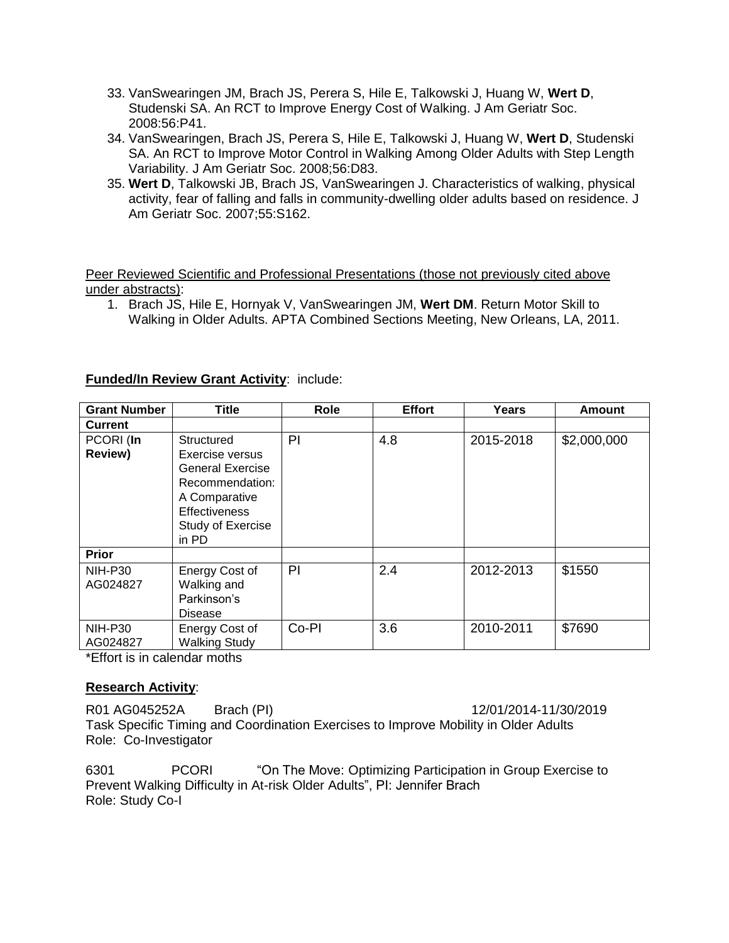- 33. VanSwearingen JM, Brach JS, Perera S, Hile E, Talkowski J, Huang W, **Wert D**, Studenski SA. An RCT to Improve Energy Cost of Walking. J Am Geriatr Soc. 2008:56:P41.
- 34. VanSwearingen, Brach JS, Perera S, Hile E, Talkowski J, Huang W, **Wert D**, Studenski SA. An RCT to Improve Motor Control in Walking Among Older Adults with Step Length Variability. J Am Geriatr Soc. 2008;56:D83.
- 35. **Wert D**, Talkowski JB, Brach JS, VanSwearingen J. Characteristics of walking, physical activity, fear of falling and falls in community-dwelling older adults based on residence. J Am Geriatr Soc. 2007;55:S162.

Peer Reviewed Scientific and Professional Presentations (those not previously cited above under abstracts):

1. Brach JS, Hile E, Hornyak V, VanSwearingen JM, **Wert DM**. Return Motor Skill to Walking in Older Adults. APTA Combined Sections Meeting, New Orleans, LA, 2011.

# **Funded/In Review Grant Activity**: include:

| <b>Grant Number</b>               | Title                                                                                                                                       | Role  | <b>Effort</b> | Years     | <b>Amount</b> |
|-----------------------------------|---------------------------------------------------------------------------------------------------------------------------------------------|-------|---------------|-----------|---------------|
| <b>Current</b>                    |                                                                                                                                             |       |               |           |               |
| PCORI (In<br><b>Review)</b>       | Structured<br>Exercise versus<br><b>General Exercise</b><br>Recommendation:<br>A Comparative<br>Effectiveness<br>Study of Exercise<br>in PD | PI    | 4.8           | 2015-2018 | \$2,000,000   |
| <b>Prior</b>                      |                                                                                                                                             |       |               |           |               |
| <b>NIH-P30</b><br>AG024827        | Energy Cost of<br>Walking and<br>Parkinson's<br>Disease                                                                                     | PI    | 2.4           | 2012-2013 | \$1550        |
| NIH-P30<br>AG024827<br>. <i>.</i> | Energy Cost of<br><b>Walking Study</b>                                                                                                      | Co-PI | 3.6           | 2010-2011 | \$7690        |

\*Effort is in calendar moths

# **Research Activity**:

R01 AG045252A Brach (PI) 12/01/2014-11/30/2019 Task Specific Timing and Coordination Exercises to Improve Mobility in Older Adults Role: Co-Investigator

6301 PCORI "On The Move: Optimizing Participation in Group Exercise to Prevent Walking Difficulty in At-risk Older Adults", PI: Jennifer Brach Role: Study Co-I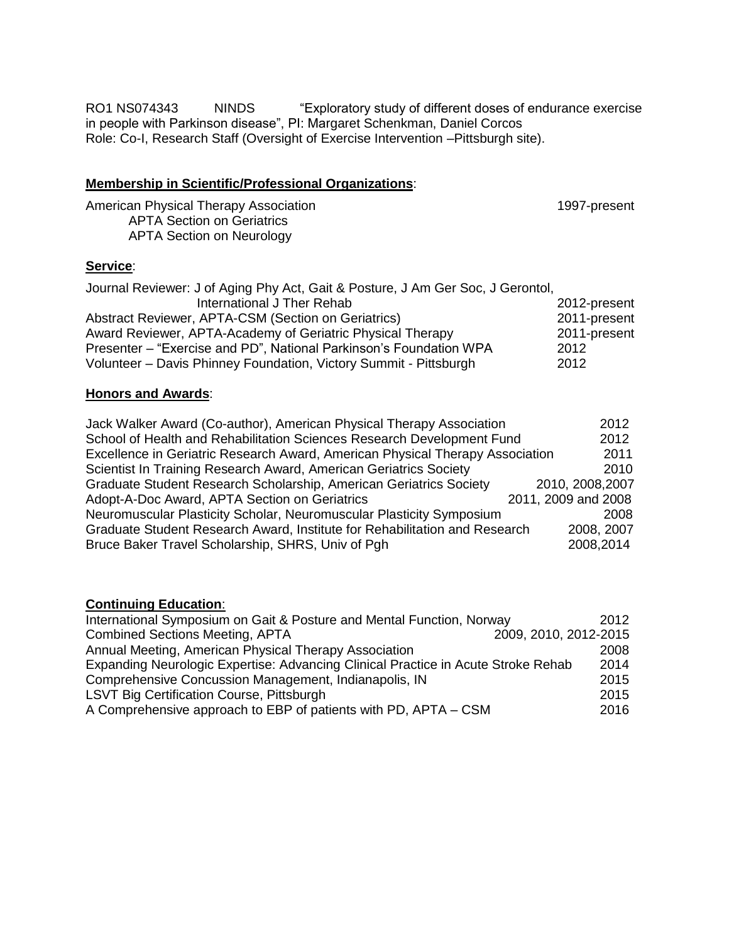RO1 NS074343 NINDS "Exploratory study of different doses of endurance exercise in people with Parkinson disease", PI: Margaret Schenkman, Daniel Corcos Role: Co-I, Research Staff (Oversight of Exercise Intervention –Pittsburgh site).

### **Membership in Scientific/Professional Organizations**:

American Physical Therapy Association 1997-present APTA Section on Geriatrics APTA Section on Neurology

### **Service**:

| Journal Reviewer: J of Aging Phy Act, Gait & Posture, J Am Ger Soc, J Gerontol, |              |
|---------------------------------------------------------------------------------|--------------|
| International J Ther Rehab                                                      | 2012-present |
| Abstract Reviewer, APTA-CSM (Section on Geriatrics)                             | 2011-present |
| Award Reviewer, APTA-Academy of Geriatric Physical Therapy                      | 2011-present |
| Presenter – "Exercise and PD", National Parkinson's Foundation WPA              | 2012         |
| Volunteer – Davis Phinney Foundation, Victory Summit - Pittsburgh               | 2012         |

# **Honors and Awards**:

| Jack Walker Award (Co-author), American Physical Therapy Association          |                     |  |  |
|-------------------------------------------------------------------------------|---------------------|--|--|
| School of Health and Rehabilitation Sciences Research Development Fund        |                     |  |  |
| Excellence in Geriatric Research Award, American Physical Therapy Association | 2011                |  |  |
| Scientist In Training Research Award, American Geriatrics Society             | 2010                |  |  |
| Graduate Student Research Scholarship, American Geriatrics Society            | 2010, 2008, 2007    |  |  |
| Adopt-A-Doc Award, APTA Section on Geriatrics                                 | 2011, 2009 and 2008 |  |  |
| Neuromuscular Plasticity Scholar, Neuromuscular Plasticity Symposium          | 2008                |  |  |
| Graduate Student Research Award, Institute for Rehabilitation and Research    | 2008, 2007          |  |  |
| Bruce Baker Travel Scholarship, SHRS, Univ of Pgh                             | 2008,2014           |  |  |

# **Continuing Education**:

| International Symposium on Gait & Posture and Mental Function, Norway             | 2012                  |
|-----------------------------------------------------------------------------------|-----------------------|
| <b>Combined Sections Meeting, APTA</b>                                            | 2009, 2010, 2012-2015 |
| Annual Meeting, American Physical Therapy Association                             | 2008                  |
| Expanding Neurologic Expertise: Advancing Clinical Practice in Acute Stroke Rehab | 2014                  |
| Comprehensive Concussion Management, Indianapolis, IN                             | 2015                  |
| LSVT Big Certification Course, Pittsburgh                                         | 2015                  |
| A Comprehensive approach to EBP of patients with PD, APTA – CSM                   | 2016                  |